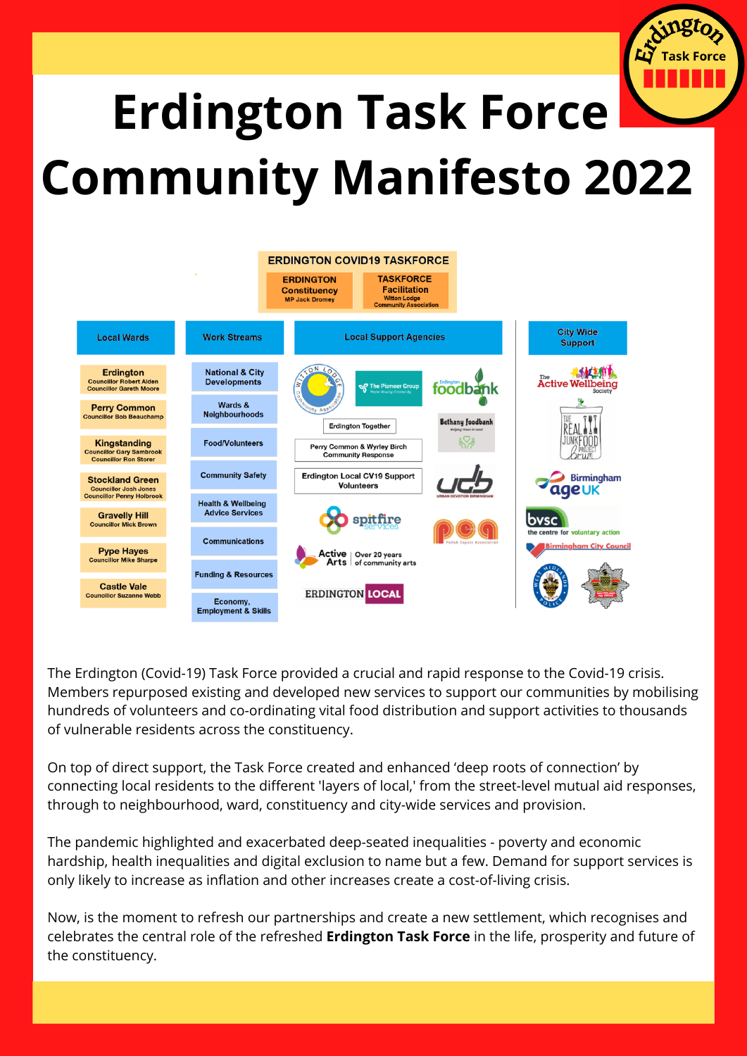

# **Erdington Task Force Community Manifesto 2022**



The Erdington (Covid-19) Task Force provided a crucial and rapid response to the Covid-19 crisis. Members repurposed existing and developed new services to support our communities by mobilising hundreds of volunteers and co-ordinating vital food distribution and support activities to thousands of vulnerable residents across the constituency.

On top of direct support, the Task Force created and enhanced 'deep roots of connection' by connecting local residents to the different 'layers of local,' from the street-level mutual aid responses, through to neighbourhood, ward, constituency and city-wide services and provision.

The pandemic highlighted and exacerbated deep-seated inequalities - poverty and economic hardship, health inequalities and digital exclusion to name but a few. Demand for support services is only likely to increase as inflation and other increases create a cost-of-living crisis.

Now, is the moment to refresh our partnerships and create a new settlement, which recognises and celebrates the central role of the refreshed **Erdington Task Force** in the life, prosperity and future of the constituency.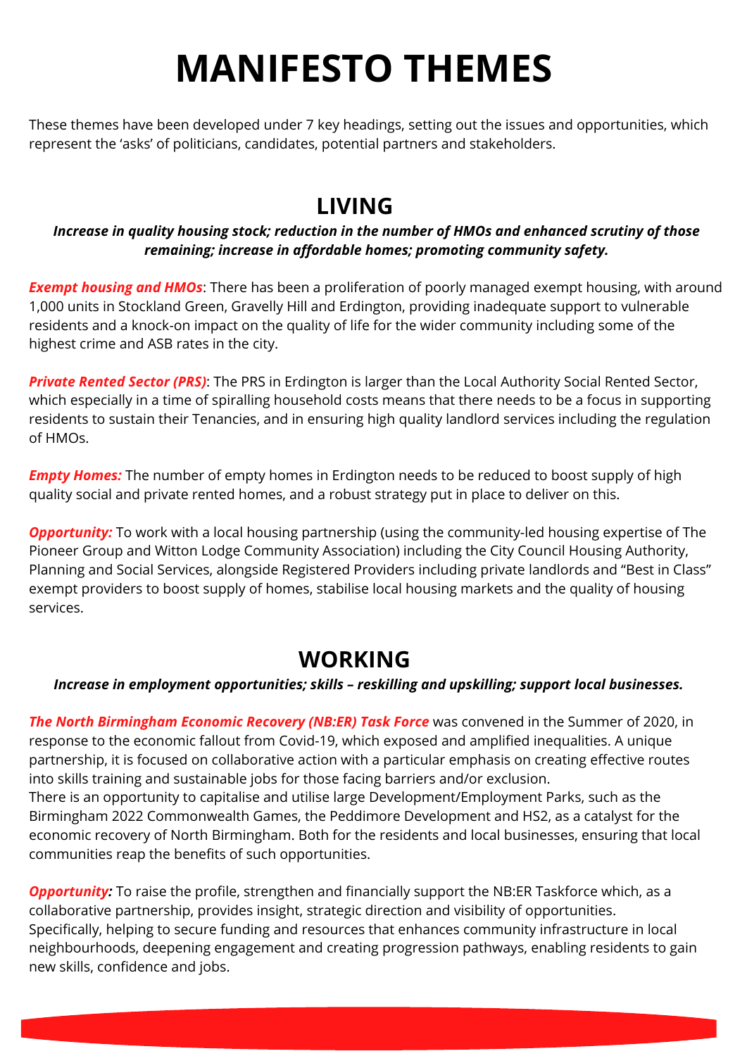# **MANIFESTO THEMES**

These themes have been developed under 7 key headings, setting out the issues and opportunities, which represent the 'asks' of politicians, candidates, potential partners and stakeholders.

# **LIVING**

#### *Increase in quality housing stock; reduction in the number of HMOs and enhanced scrutiny of those remaining; increase in affordable homes; promoting community safety.*

*Exempt housing and HMOs*: There has been a proliferation of poorly managed exempt housing, with around 1,000 units in Stockland Green, Gravelly Hill and Erdington, providing inadequate support to vulnerable residents and a knock-on impact on the quality of life for the wider community including some of the highest crime and ASB rates in the city.

*Private Rented Sector (PRS)*: The PRS in Erdington is larger than the Local Authority Social Rented Sector, which especially in a time of spiralling household costs means that there needs to be a focus in supporting residents to sustain their Tenancies, and in ensuring high quality landlord services including the regulation of HMOs.

*Empty Homes:* The number of empty homes in Erdington needs to be reduced to boost supply of high quality social and private rented homes, and a robust strategy put in place to deliver on this.

*Opportunity:* To work with a local housing partnership (using the community-led housing expertise of The Pioneer Group and Witton Lodge Community Association) including the City Council Housing Authority, Planning and Social Services, alongside Registered Providers including private landlords and "Best in Class" exempt providers to boost supply of homes, stabilise local housing markets and the quality of housing services.

# **WORKING**

#### *Increase in employment opportunities; skills – reskilling and upskilling; support local businesses.*

*The North Birmingham Economic Recovery (NB:ER) Task Force* was convened in the Summer of 2020, in response to the economic fallout from Covid-19, which exposed and amplified inequalities. A unique partnership, it is focused on collaborative action with a particular emphasis on creating effective routes into skills training and sustainable jobs for those facing barriers and/or exclusion. There is an opportunity to capitalise and utilise large Development/Employment Parks, such as the Birmingham 2022 Commonwealth Games, the Peddimore Development and HS2, as a catalyst for the economic recovery of North Birmingham. Both for the residents and local businesses, ensuring that local

communities reap the benefits of such opportunities. **Opportunity:** To raise the profile, strengthen and financially support the NB:ER Taskforce which, as a collaborative partnership, provides insight, strategic direction and visibility of opportunities. Specifically, helping to secure funding and resources that enhances community infrastructure in local

neighbourhoods, deepening engagement and creating progression pathways, enabling residents to gain

new skills, confidence and jobs.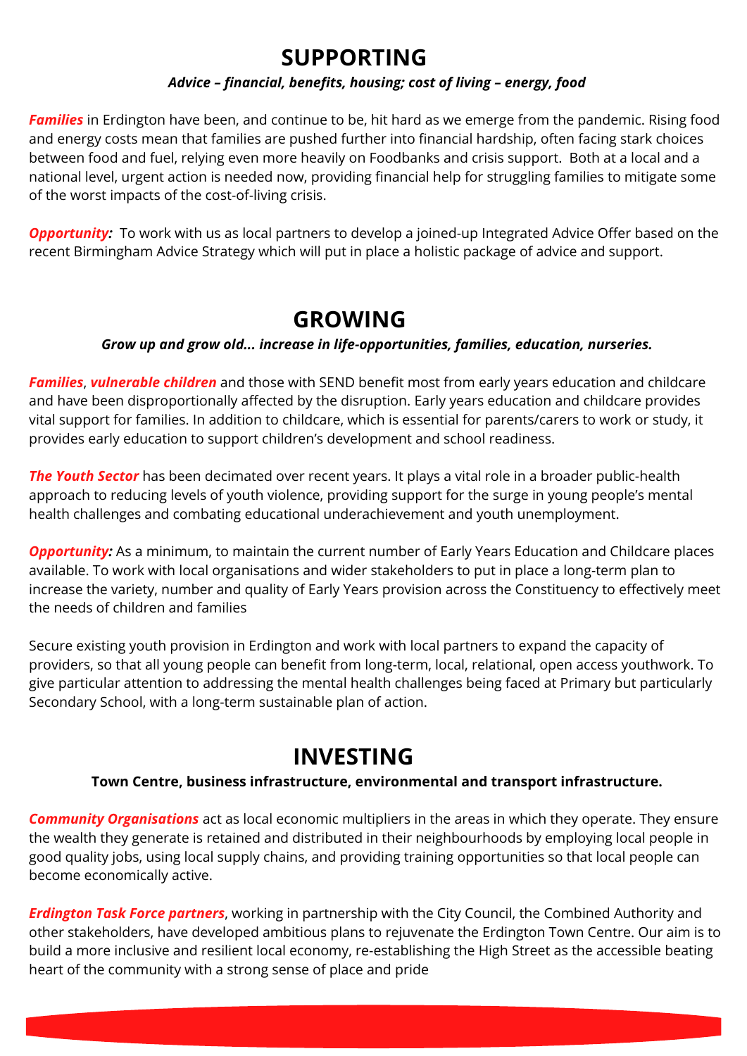## **SUPPORTING**

#### *Advice – financial, benefits, housing; cost of living – energy, food*

**Families** in Erdington have been, and continue to be, hit hard as we emerge from the pandemic. Rising food and energy costs mean that families are pushed further into financial hardship, often facing stark choices between food and fuel, relying even more heavily on Foodbanks and crisis support. Both at a local and a national level, urgent action is needed now, providing financial help for struggling families to mitigate some of the worst impacts of the cost-of-living crisis.

*Opportunity:* To work with us as local partners to develop a joined-up Integrated Advice Offer based on the recent Birmingham Advice Strategy which will put in place a holistic package of advice and support.

### **GROWING**

#### *Grow up and grow old... increase in life-opportunities, families, education, nurseries.*

*Families*, *vulnerable children* and those with SEND benefit most from early years education and childcare and have been disproportionally affected by the disruption. Early years education and childcare provides vital support for families. In addition to childcare, which is essential for parents/carers to work or study, it provides early education to support children's development and school readiness.

*The Youth Sector* has been decimated over recent years. It plays a vital role in a broader public-health approach to reducing levels of youth violence, providing support for the surge in young people's mental health challenges and combating educational underachievement and youth unemployment.

*Opportunity:* As a minimum, to maintain the current number of Early Years Education and Childcare places available. To work with local organisations and wider stakeholders to put in place a long-term plan to increase the variety, number and quality of Early Years provision across the Constituency to effectively meet the needs of children and families

Secure existing youth provision in Erdington and work with local partners to expand the capacity of providers, so that all young people can benefit from long-term, local, relational, open access youthwork. To give particular attention to addressing the mental health challenges being faced at Primary but particularly Secondary School, with a long-term sustainable plan of action.

## **INVESTING**

#### **Town Centre, business infrastructure, environmental and transport infrastructure.**

*Community Organisations* act as local economic multipliers in the areas in which they operate. They ensure the wealth they generate is retained and distributed in their neighbourhoods by employing local people in good quality jobs, using local supply chains, and providing training opportunities so that local people can become economically active.

*Erdington Task Force partners*, working in partnership with the City Council, the Combined Authority and other stakeholders, have developed ambitious plans to rejuvenate the Erdington Town Centre. Our aim is to build a more inclusive and resilient local economy, re-establishing the High Street as the accessible beating heart of the community with a strong sense of place and pride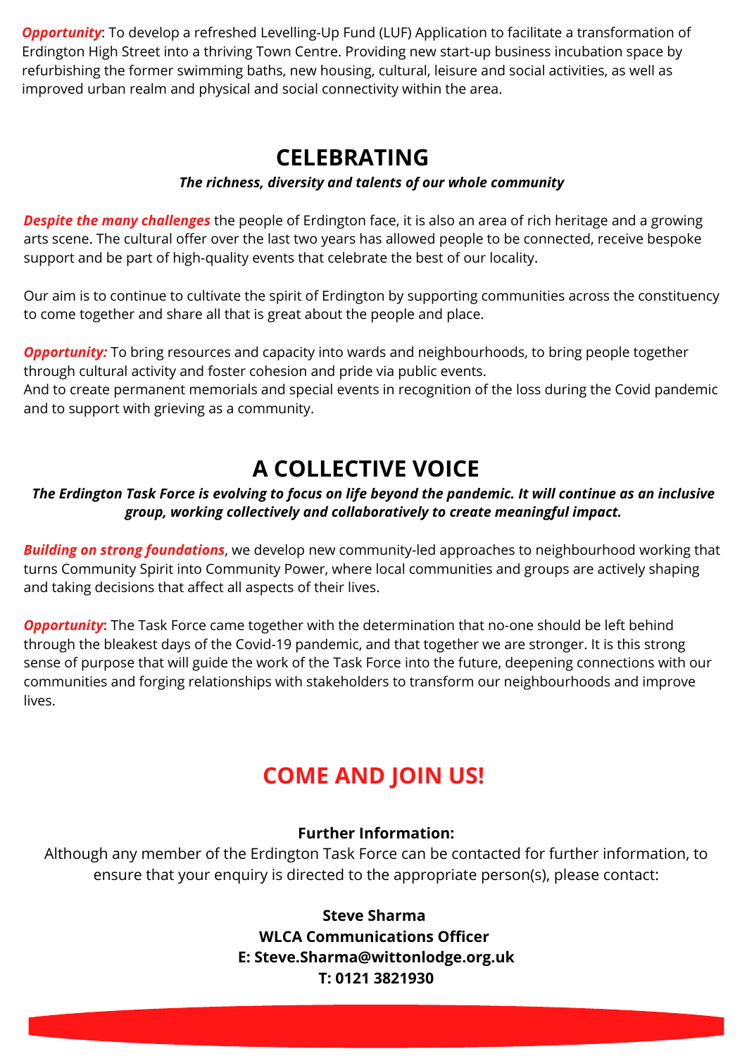*Opportunity*: To develop a refreshed Levelling-Up Fund (LUF) Application to facilitate a transformation of Erdington High Street into a thriving Town Centre. Providing new start-up business incubation space by refurbishing the former swimming baths, new housing, cultural, leisure and social activities, as well as improved urban realm and physical and social connectivity within the area.

# **CELEBRATING**

#### *The richness, diversity and talents of our whole community*

*Despite the many challenges* the people of Erdington face, it is also an area of rich heritage and a growing arts scene. The cultural offer over the last two years has allowed people to be connected, receive bespoke support and be part of high-quality events that celebrate the best of our locality.

Our aim is to continue to cultivate the spirit of Erdington by supporting communities across the constituency to come together and share all that is great about the people and place.

**Opportunity:** To bring resources and capacity into wards and neighbourhoods, to bring people together through cultural activity and foster cohesion and pride via public events. And to create permanent memorials and special events in recognition of the loss during the Covid pandemic and to support with grieving as a community.

# **A COLLECTIVE VOICE**

#### The Erdington Task Force is evolving to focus on life beyond the pandemic. It will continue as an inclusive *group, working collectively and collaboratively to create meaningful impact.*

*Building on strong foundations*, we develop new community-led approaches to neighbourhood working that turns Community Spirit into Community Power, where local communities and groups are actively shaping and taking decisions that affect all aspects of their lives.

**Opportunity:** The Task Force came together with the determination that no-one should be left behind through the bleakest days of the Covid-19 pandemic, and that together we are stronger. It is this strong sense of purpose that will guide the work of the Task Force into the future, deepening connections with our communities and forging relationships with stakeholders to transform our neighbourhoods and improve lives.

# **COME AND JOIN US!**

#### **Further Information:**

Although any member of the Erdington Task Force can be contacted for further information, to ensure that your enquiry is directed to the appropriate person(s), please contact:

> **Steve Sharma WLCA Communications Officer E: [Steve.Sharma@wittonlodge.org.uk](mailto:Steve.Sharma@wittonlodge.org.uk) T: 0121 3821930**